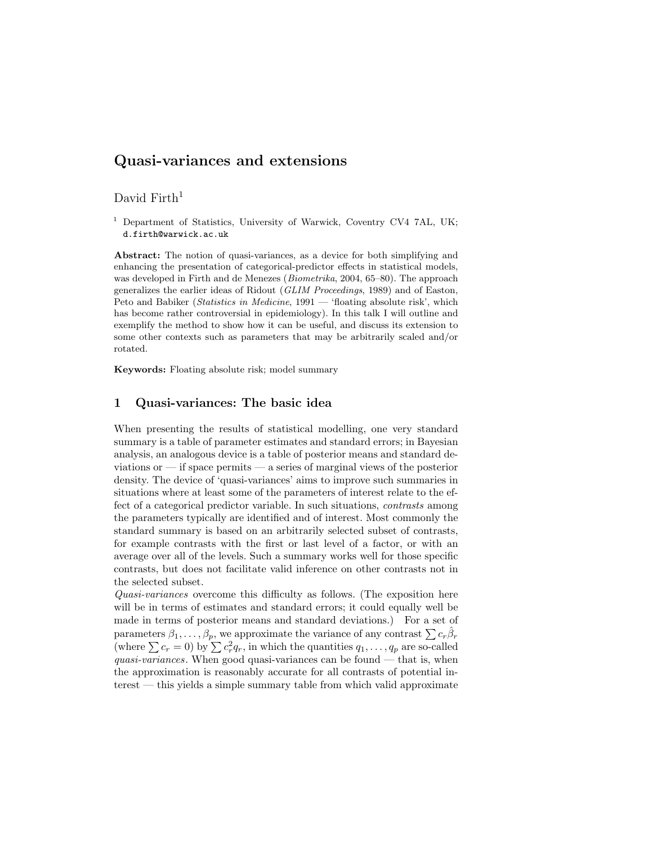# Quasi-variances and extensions

## David Firth<sup>1</sup>

<sup>1</sup> Department of Statistics, University of Warwick, Coventry CV4 7AL, UK; d.firth@warwick.ac.uk

Abstract: The notion of quasi-variances, as a device for both simplifying and enhancing the presentation of categorical-predictor effects in statistical models, was developed in Firth and de Menezes (*Biometrika*, 2004, 65–80). The approach generalizes the earlier ideas of Ridout (GLIM Proceedings, 1989) and of Easton, Peto and Babiker (*Statistics in Medicine*, 1991 — 'floating absolute risk', which has become rather controversial in epidemiology). In this talk I will outline and exemplify the method to show how it can be useful, and discuss its extension to some other contexts such as parameters that may be arbitrarily scaled and/or rotated.

Keywords: Floating absolute risk; model summary

### 1 Quasi-variances: The basic idea

When presenting the results of statistical modelling, one very standard summary is a table of parameter estimates and standard errors; in Bayesian analysis, an analogous device is a table of posterior means and standard deviations or — if space permits — a series of marginal views of the posterior density. The device of 'quasi-variances' aims to improve such summaries in situations where at least some of the parameters of interest relate to the effect of a categorical predictor variable. In such situations, contrasts among the parameters typically are identified and of interest. Most commonly the standard summary is based on an arbitrarily selected subset of contrasts, for example contrasts with the first or last level of a factor, or with an average over all of the levels. Such a summary works well for those specific contrasts, but does not facilitate valid inference on other contrasts not in the selected subset.

Quasi-variances overcome this difficulty as follows. (The exposition here will be in terms of estimates and standard errors; it could equally well be made in terms of posterior means and standard deviations.) For a set of parameters  $\beta_1, \ldots, \beta_p$ , we approximate the variance of any contrast  $\sum c_r \hat{\beta}_r$ (where  $\sum c_r = 0$ ) by  $\sum c_r^2 q_r$ , in which the quantities  $q_1, \ldots, q_p$  are so-called quasi-variances. When good quasi-variances can be found  $-$  that is, when the approximation is reasonably accurate for all contrasts of potential interest — this yields a simple summary table from which valid approximate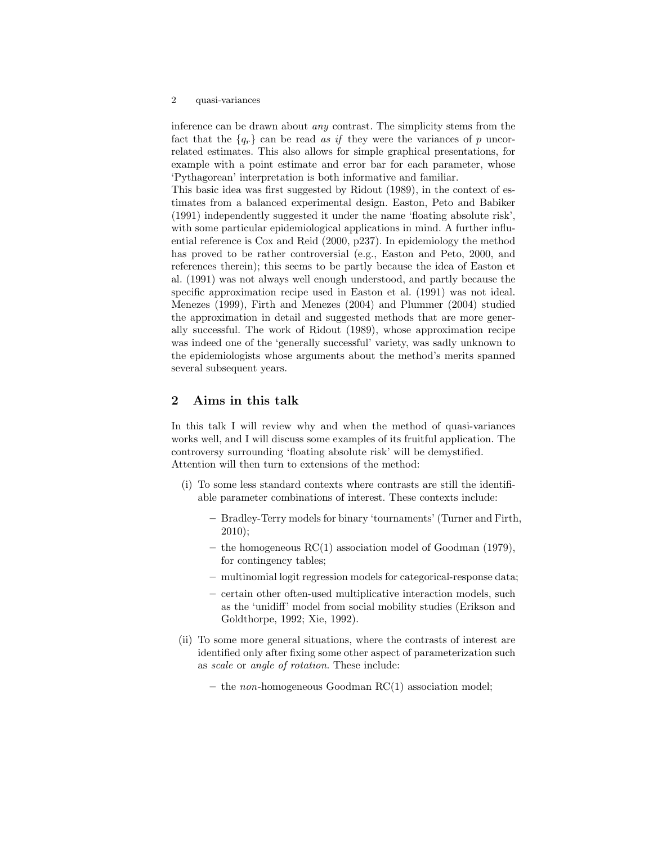#### 2 quasi-variances

inference can be drawn about any contrast. The simplicity stems from the fact that the  ${q_r}$  can be read as if they were the variances of p uncorrelated estimates. This also allows for simple graphical presentations, for example with a point estimate and error bar for each parameter, whose 'Pythagorean' interpretation is both informative and familiar.

This basic idea was first suggested by Ridout (1989), in the context of estimates from a balanced experimental design. Easton, Peto and Babiker (1991) independently suggested it under the name 'floating absolute risk', with some particular epidemiological applications in mind. A further influential reference is Cox and Reid (2000, p237). In epidemiology the method has proved to be rather controversial (e.g., Easton and Peto, 2000, and references therein); this seems to be partly because the idea of Easton et al. (1991) was not always well enough understood, and partly because the specific approximation recipe used in Easton et al. (1991) was not ideal. Menezes (1999), Firth and Menezes (2004) and Plummer (2004) studied the approximation in detail and suggested methods that are more generally successful. The work of Ridout (1989), whose approximation recipe was indeed one of the 'generally successful' variety, was sadly unknown to the epidemiologists whose arguments about the method's merits spanned several subsequent years.

### 2 Aims in this talk

In this talk I will review why and when the method of quasi-variances works well, and I will discuss some examples of its fruitful application. The controversy surrounding 'floating absolute risk' will be demystified. Attention will then turn to extensions of the method:

- (i) To some less standard contexts where contrasts are still the identifiable parameter combinations of interest. These contexts include:
	- Bradley-Terry models for binary 'tournaments' (Turner and Firth, 2010);
	- the homogeneous RC(1) association model of Goodman (1979), for contingency tables;
	- multinomial logit regression models for categorical-response data;
	- certain other often-used multiplicative interaction models, such as the 'unidiff' model from social mobility studies (Erikson and Goldthorpe, 1992; Xie, 1992).
- (ii) To some more general situations, where the contrasts of interest are identified only after fixing some other aspect of parameterization such as scale or angle of rotation. These include:
	- the non-homogeneous Goodman  $RC(1)$  association model;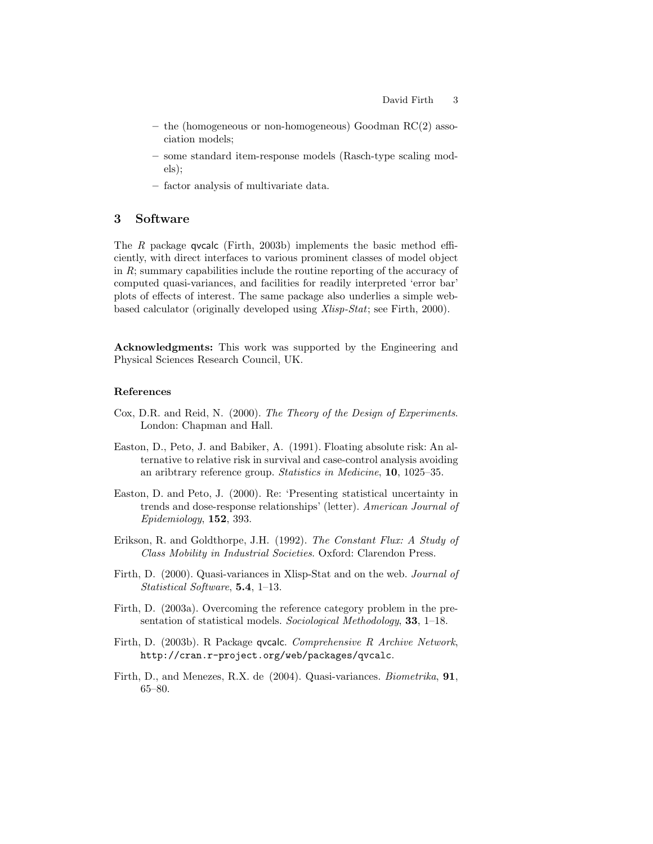- the (homogeneous or non-homogeneous) Goodman RC(2) association models;
- some standard item-response models (Rasch-type scaling models);
- factor analysis of multivariate data.

# 3 Software

The R package qvcalc (Firth, 2003b) implements the basic method efficiently, with direct interfaces to various prominent classes of model object in R; summary capabilities include the routine reporting of the accuracy of computed quasi-variances, and facilities for readily interpreted 'error bar' plots of effects of interest. The same package also underlies a simple webbased calculator (originally developed using Xlisp-Stat; see Firth, 2000).

Acknowledgments: This work was supported by the Engineering and Physical Sciences Research Council, UK.

#### References

- Cox, D.R. and Reid, N. (2000). The Theory of the Design of Experiments. London: Chapman and Hall.
- Easton, D., Peto, J. and Babiker, A. (1991). Floating absolute risk: An alternative to relative risk in survival and case-control analysis avoiding an aribtrary reference group. Statistics in Medicine, 10, 1025–35.
- Easton, D. and Peto, J. (2000). Re: 'Presenting statistical uncertainty in trends and dose-response relationships' (letter). American Journal of Epidemiology, 152, 393.
- Erikson, R. and Goldthorpe, J.H. (1992). The Constant Flux: A Study of Class Mobility in Industrial Societies. Oxford: Clarendon Press.
- Firth, D. (2000). Quasi-variances in Xlisp-Stat and on the web. Journal of Statistical Software, 5.4, 1–13.
- Firth, D. (2003a). Overcoming the reference category problem in the presentation of statistical models. Sociological Methodology, 33, 1–18.
- Firth, D. (2003b). R Package qvcalc. Comprehensive R Archive Network, http://cran.r-project.org/web/packages/qvcalc.
- Firth, D., and Menezes, R.X. de (2004). Quasi-variances. Biometrika, 91, 65–80.